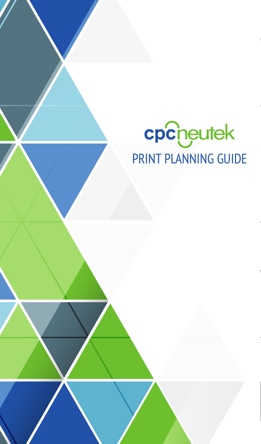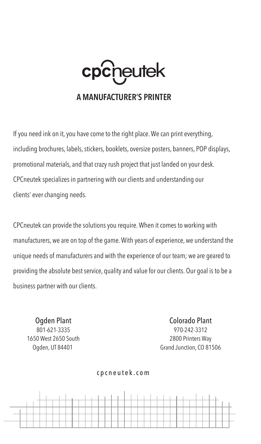eutek cp

#### **A MANUFACTURER'S PRINTER**

If you need ink on it, you have come to the right place. We can print everything, including brochures, labels, stickers, booklets, oversize posters, banners, POP displays, promotional materials, and that crazy rush project that just landed on your desk. CPCneutek specializes in partnering with our clients and understanding our clients' ever changing needs.

CPCneutek can provide the solutions you require.When it comes to working with manufacturers, we are on top of the game.With years of experience, we understand the unique needs of manufacturers and with the experience of our team; we are geared to providing the absolute best service, quality and value for our clients. Our goal is to be a business partner with our clients.

Ogden Plant 801-621-3335 1650 West 2650 South Ogden, UT 84401

Colorado Plant 970-242-3312 2800 Printers Way Grand Junction, CO 81506



cpcneutek.com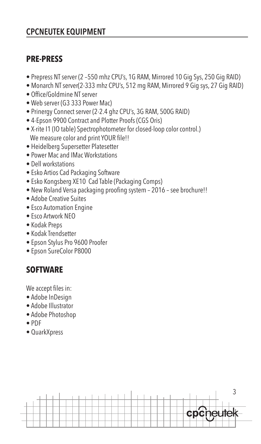# **CPCNEUTEK EQUIPMENT**

# **PRE-PRESS**

- Prepress NT server (2 –550 mhz CPU's, 1G RAM, Mirrored 10 Gig Sys, 250 Gig RAID)
- Monarch NT server(2-333 mhz CPU's, 512 mg RAM, Mirrored 9 Gig sys, 27 Gig RAID)
- Office/Goldmine NT server
- Web server (G3 333 Power Mac)
- Prinergy Connect server (2-2.4 ghz CPU's, 3G RAM, 500G RAID)
- 4-Epson 9900 Contract and Plotter Proofs (CGS Oris)
- X-rite I1 (IO table) Spectrophotometer for closed-loop color control.) We measure color and print YOUR file!!
- Heidelberg Supersetter Platesetter
- Power Mac and IMac Workstations
- Dell workstations
- Esko Artios Cad Packaging Software
- Esko Kongsberg XE10 Cad Table (Packaging Comps)
- New Roland Versa packaging proofing system 2016 see brochure!!
- Adobe Creative Suites
- Esco Automation Engine
- Esco Artwork NEO
- Kodak Preps
- Kodak Trendsetter
- Epson Stylus Pro 9600 Proofer
- Epson SureColor P8000

# **SOFTWARE**

We accept files in:

- Adobe InDesign
- Adobe Illustrator
- Adobe Photoshop
- PDF
- QuarkXpress

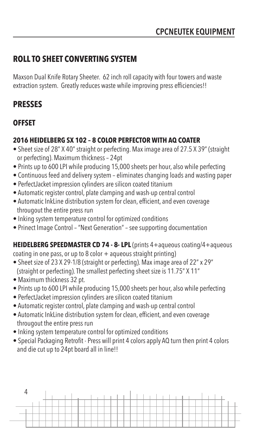# **ROLL TO SHEET CONVERTING SYSTEM**

Maxson Dual Knife Rotary Sheeter. 62 inch roll capacity with four towers and waste extraction system. Greatly reduces waste while improving press efficiencies!!

# **PRESSES**

## **OFFSET**

### **2016 HEIDELBERG SX 102 – 8 COLOR PERFECTOR WITH AQ COATER**

- Sheet size of 28" X 40" straight or perfecting. Max image area of 27.5 X 39" (straight or perfecting). Maximum thickness – 24pt
- Prints up to 600 LPI while producing 15,000 sheets per hour, also while perfecting
- Continuous feed and delivery system eliminates changing loads and wasting paper
- PerfectJacket impression cylinders are silicon coated titanium
- Automatic register control, plate clamping and wash-up central control
- Automatic InkLine distribution system for clean, efficient, and even coverage througout the entire press run
- Inking system temperature control for optimized conditions
- Prinect Image Control "Next Generation" see supporting documentation

## **HEIDELBERG SPEEDMASTER CD 74 - 8- LPL** (prints 4+aqueous coating/4+aqueous

coating in one pass, or up to 8 color  $+$  aqueous straight printing)

- Sheet size of 23 X 29-1/8 (straight or perfecting). Max image area of 22" x 29" (straight or perfecting). The smallest perfecting sheet size is 11.75" X 11"
- Maximum thickness 32 pt.
- Prints up to 600 LPI while producing 15,000 sheets per hour, also while perfecting
- PerfectJacket impression cylinders are silicon coated titanium
- Automatic register control, plate clamping and wash-up central control
- Automatic InkLine distribution system for clean, efficient, and even coverage througout the entire press run
- Inking system temperature control for optimized conditions
- Special Packaging Retrofit Press will print 4 colors apply AQ turn then print 4 colors and die cut up to 24pt board all in line!!

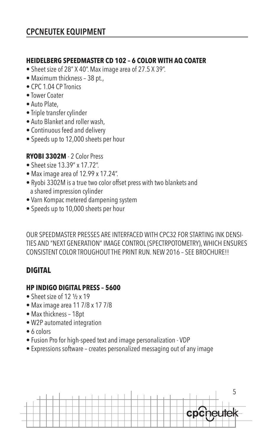#### **HEIDELBERG SPEEDMASTER CD 102 – 6 COLOR WITH AQ COATER**

- Sheet size of 28" X 40". Max image area of 27.5 X 39".
- Maximum thickness 38 pt.,
- CPC 1.04 CP Tronics
- Tower Coater
- Auto Plate,
- Triple transfer cylinder
- Auto Blanket and roller wash,
- Continuous feed and delivery
- Speeds up to 12,000 sheets per hour

#### **RYOBI 3302M** - 2 Color Press

- Sheet size 13.39" x 17.72".
- Max image area of 12.99 x 17.24".
- Ryobi 3302M is a true two color offset press with two blankets and a shared impression cylinder
- Varn Kompac metered dampening system
- Speeds up to 10,000 sheets per hour

OUR SPEEDMASTER PRESSES ARE INTERFACED WITH CPC32 FOR STARTING INK DENSI-TIES AND "NEXT GENERATION" IMAGE CONTROL (SPECTRPOTOMETRY), WHICH ENSURES CONSISTENT COLOR TROUGHOUT THE PRINT RUN. NEW 2016 – SEE BROCHURE!!

### **DIGITAL**

#### **HP INDIGO DIGITAL PRESS – 5600**

- Sheet size of 12 1/2 x 19
- Max image area 11 7/8 x 17 7/8
- Max thickness 18pt
- W2P automated integration
- 6 colors
- Fusion Pro for high-speed text and image personalization VDP
- Expressions software creates personalized messaging out of any image

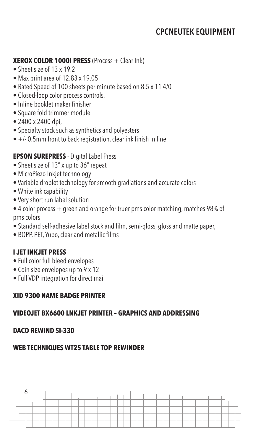#### **XEROX COLOR 1000I PRESS** (Process + Clear Ink)

- Sheet size of 13 x 19.2
- Max print area of 12.83 x 19.05
- Rated Speed of 100 sheets per minute based on 8.5 x 11 4/0
- Closed-loop color process controls,
- Inline booklet maker finisher
- Square fold trimmer module
- 2400 x 2400 dpi,
- Specialty stock such as synthetics and polyesters
- $\bullet$  +/- 0.5mm front to back registration, clear ink finish in line

#### **EPSON SUREPRESS** - Digital Label Press

- Sheet size of 13" x up to 36" repeat
- MicroPiezo Inkjet technology
- Variable droplet technology for smooth gradiations and accurate colors
- White ink capability
- Very short run label solution
- 4 color process + green and orange for truer pms color matching, matches 98% of pms colors
- Standard self-adhesive label stock and film, semi-gloss, gloss and matte paper,
- BOPP, PET, Yupo, clear and metallic films

#### **I JET INKJET PRESS**

- Full color full bleed envelopes
- Coin size envelopes up to 9 x 12
- Full VDP integration for direct mail

#### **XID 9300 NAME BADGE PRINTER**

#### **VIDEOJET BX6600 LNKJET PRINTER – GRAPHICS AND ADDRESSING**

#### **DACO REWIND SI-330**

#### **WEB TECHNIQUES WT25 TABLE TOP REWINDER**

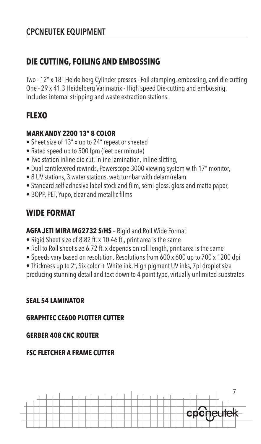# **CPCNEUTEK EQUIPMENT**

# **DIE CUTTING, FOILING AND EMBOSSING**

Two - 12" x 18" Heidelberg Cylinder presses - Foil-stamping, embossing, and die-cutting One - 29 x 41.3 Heidelberg Varimatrix - High speed Die-cutting and embossing. Includes internal stripping and waste extraction stations.

# **FLEXO**

#### **MARK ANDY 2200 13" 8 COLOR**

- Sheet size of 13" x up to 24" repeat or sheeted
- Rated speed up to 500 fpm (feet per minute)
- Two station inline die cut, inline lamination, inline slitting,
- Dual cantilevered rewinds, Powerscope 3000 viewing system with 17" monitor,
- 8 UV stations, 3 water stations, web turnbar with delam/relam
- Standard self-adhesive label stock and film, semi-gloss, gloss and matte paper,
- BOPP, PET, Yupo, clear and metallic films

# **WIDE FORMAT**

**AGFA JETI MIRA MG2732 S/HS** – Rigid and Roll Wide Format

- Rigid Sheet size of 8.82 ft. x 10.46 ft., print area is the same
- Roll to Roll sheet size 6.72 ft. x depends on roll length, print area is the same
- Speeds vary based on resolution. Resolutions from 600 x 600 up to 700 x 1200 dpi
- Thickness up to 2", Six color + White ink, High pigment UV inks, 7pl droplet size producing stunning detail and text down to 4 point type, virtually unlimited substrates

#### **SEAL 54 LAMINATOR**

### **GRAPHTEC CE600 PLOTTER CUTTER**

### **GERBER 408 CNC ROUTER**

### **FSC FLETCHER A FRAME CUTTER**

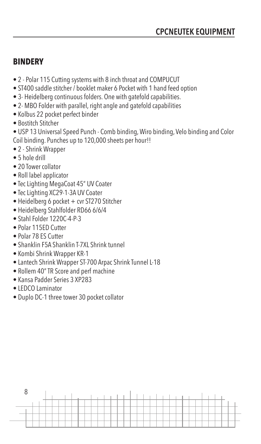### **BINDERY**

- 2 Polar 115 Cutting systems with 8 inch throat and COMPUCUT
- ST400 saddle stitcher / booklet maker 6 Pocket with 1 hand feed option
- 3- Heidelberg continuous folders. One with gatefold capabilities.
- 2- MBO Folder with parallel, right angle and gatefold capabilities
- Kolbus 22 pocket perfect binder
- Bostitch Stitcher

• USP 13 Universal Speed Punch - Comb binding, Wiro binding, Velo binding and Color Coil binding. Punches up to 120,000 sheets per hour!!

- 2 Shrink Wrapper
- 5 hole drill
- 20 Tower collator
- Roll label applicator
- Tec Lighting MegaCoat 45" UV Coater
- Tec Lighting XC29-1-3A UV Coater
- Heidelberg 6 pocket + cvr ST270 Stitcher
- Heidelberg Stahlfolder RD66 6/6/4
- Stahl Folder 1220C-4-P-3
- Polar 115ED Cutter
- Polar 78 ES Cutter
- Shanklin F5A Shanklin T-7XL Shrink tunnel
- Kombi Shrink Wrapper KR-1
- Lantech Shrink Wrapper ST-700 Arpac Shrink Tunnel L-18
- Rollem 40" TR Score and perf machine
- Kansa Padder Series 3 XP283
- LEDCO Laminator
- Duplo DC-1 three tower 30 pocket collator

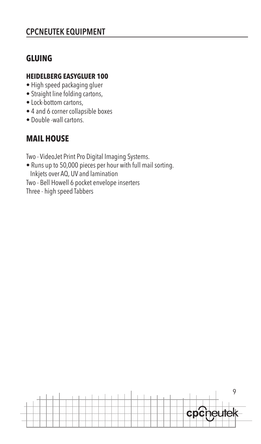# **CPCNEUTEK EQUIPMENT**

# **GLUING**

### **HEIDELBERG EASYGLUER 100**

- High speed packaging gluer
- Straight line folding cartons,
- Lock-bottom cartons,
- 4 and 6 corner collapsible boxes
- Double -wall cartons.

# **MAIL HOUSE**

Two - VideoJet Print Pro Digital Imaging Systems.

- Runs up to 50,000 pieces per hour with full mail sorting. Inkjets over AQ, UV and lamination
- Two Bell Howell 6 pocket envelope inserters

Three - high speed Tabbers

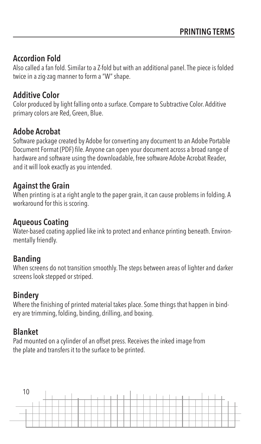### **Accordion Fold**

Also called a fan fold. Similar to a Z-fold but with an additional panel. The piece is folded twice in a zig-zag manner to form a "W" shape.

### **Additive Color**

Color produced by light falling onto a surface. Compare to Subtractive Color. Additive primary colors are Red, Green, Blue.

### **Adobe Acrobat**

Software package created by Adobe for converting any document to an Adobe Portable Document Format (PDF) file. Anyone can open your document across a broad range of hardware and software using the downloadable, free software Adobe Acrobat Reader, and it will look exactly as you intended.

### **Against the Grain**

When printing is at a right angle to the paper grain, it can cause problems in folding. A workaround for this is scoring.

### **Aqueous Coating**

Water-based coating applied like ink to protect and enhance printing beneath. Environmentally friendly.

### **Banding**

When screens do not transition smoothly. The steps between areas of lighter and darker screens look stepped or striped.

### **Bindery**

Where the finishing of printed material takes place. Some things that happen in bindery are trimming, folding, binding, drilling, and boxing.

## **Blanket**

Pad mounted on a cylinder of an offset press. Receives the inked image from the plate and transfers it to the surface to be printed.

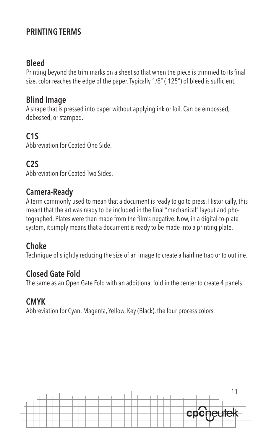### **Bleed**

Printing beyond the trim marks on a sheet so that when the piece is trimmed to its final size, color reaches the edge of the paper. Typically 1/8" (.125") of bleed is sufficient.

## **Blind Image**

A shape that is pressed into paper without applying ink or foil. Can be embossed, debossed, or stamped.

# **C1S**

Abbreviation for Coated One Side.

# **C2S**

Abbreviation for Coated Two Sides.

### **Camera-Ready**

A term commonly used to mean that a document is ready to go to press. Historically, this meant that the art was ready to be included in the final "mechanical" layout and photographed. Plates were then made from the film's negative. Now, in a digital-to-plate system, it simply means that a document is ready to be made into a printing plate.

### **Choke**

Technique of slightly reducing the size of an image to create a hairline trap or to outline.

## **Closed Gate Fold**

The same as an Open Gate Fold with an additional fold in the center to create 4 panels.

## **CMYK**

Abbreviation for Cyan, Magenta, Yellow, Key (Black), the four process colors.

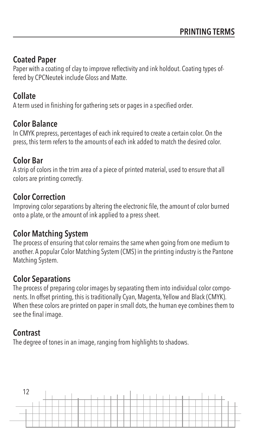## **Coated Paper**

Paper with a coating of clay to improve reflectivity and ink holdout. Coating types offered by CPCNeutek include Gloss and Matte.

# **Collate**

A term used in finishing for gathering sets or pages in a specified order.

## **Color Balance**

In CMYK prepress, percentages of each ink required to create a certain color. On the press, this term refers to the amounts of each ink added to match the desired color.

## **Color Bar**

A strip of colors in the trim area of a piece of printed material, used to ensure that all colors are printing correctly.

## **Color Correction**

Improving color separations by altering the electronic file, the amount of color burned onto a plate, or the amount of ink applied to a press sheet.

## **Color Matching System**

The process of ensuring that color remains the same when going from one medium to another. A popular Color Matching System (CMS) in the printing industry is the Pantone Matching System.

# **Color Separations**

The process of preparing color images by separating them into individual color components. In offset printing, this is traditionally Cyan, Magenta, Yellow and Black (CMYK). When these colors are printed on paper in small dots, the human eye combines them to see the final image.

## **Contrast**

The degree of tones in an image, ranging from highlights to shadows.

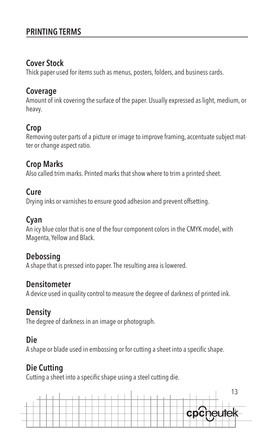### **Cover Stock**

Thick paper used for items such as menus, posters, folders, and business cards.

### **Coverage**

Amount of ink covering the surface of the paper. Usually expressed as light, medium, or heavy.

# **Crop**

Removing outer parts of a picture or image to improve framing, accentuate subject matter or change aspect ratio.

## **Crop Marks**

Also called trim marks. Printed marks that show where to trim a printed sheet.

### **Cure**

Drying inks or varnishes to ensure good adhesion and prevent offsetting.

## **Cyan**

An icy blue color that is one of the four component colors in the CMYK model, with Magenta, Yellow and Black.

## **Debossing**

A shape that is pressed into paper. The resulting area is lowered.

## **Densitometer**

A device used in quality control to measure the degree of darkness of printed ink.

# **Density**

The degree of darkness in an image or photograph.

# **Die**

A shape or blade used in embossing or for cutting a sheet into a specific shape.

# **Die Cutting**

Cutting a sheet into a specific shape using a steel cutting die.

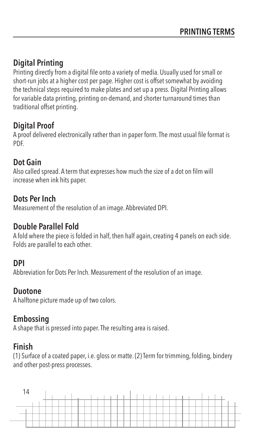# **Digital Printing**

Printing directly from a digital file onto a variety of media. Usually used for small or short-run jobs at a higher cost per page. Higher cost is offset somewhat by avoiding the technical steps required to make plates and set up a press. Digital Printing allows for variable data printing, printing on-demand, and shorter turnaround times than traditional offset printing.

# **Digital Proof**

A proof delivered electronically rather than in paper form. The most usual file format is PDF.

## **Dot Gain**

Also called spread. A term that expresses how much the size of a dot on film will increase when ink hits paper.

## **Dots Per Inch**

Measurement of the resolution of an image. Abbreviated DPI.

## **Double Parallel Fold**

A fold where the piece is folded in half, then half again, creating 4 panels on each side. Folds are parallel to each other.

### **DPI**

Abbreviation for Dots Per Inch. Measurement of the resolution of an image.

### **Duotone**

A halftone picture made up of two colors.

## **Embossing**

A shape that is pressed into paper. The resulting area is raised.

## **Finish**

(1) Surface of a coated paper, i.e. gloss or matte. (2) Term for trimming, folding, bindery and other post-press processes.

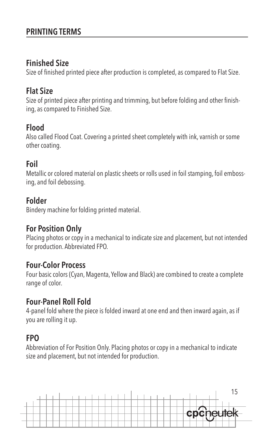### **Finished Size**

Size of finished printed piece after production is completed, as compared to Flat Size.

## **Flat Size**

Size of printed piece after printing and trimming, but before folding and other finishing, as compared to Finished Size.

## **Flood**

Also called Flood Coat. Covering a printed sheet completely with ink,varnish or some other coating.

# **Foil**

Metallic or colored material on plastic sheets or rolls used in foil stamping, foil embossing, and foil debossing.

## **Folder**

Bindery machine for folding printed material.

## **For Position Only**

Placing photos or copy in a mechanical to indicate size and placement, but not intended for production. Abbreviated FPO.

## **Four-Color Process**

Four basic colors (Cyan, Magenta, Yellow and Black) are combined to create a complete range of color.

### **Four-Panel Roll Fold**

4-panel fold where the piece is folded inward at one end and then inward again, as if you are rolling it up.

# **FPO**

Abbreviation of For Position Only. Placing photos or copy in a mechanical to indicate size and placement, but not intended for production.

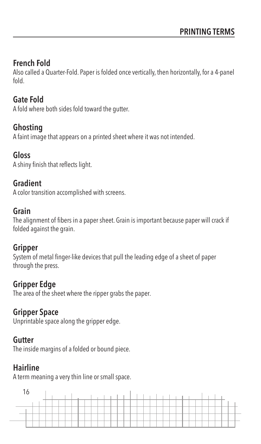# **French Fold**

Also called a Quarter-Fold. Paper is folded once vertically, then horizontally, for a 4-panel fold.

## **Gate Fold**

A fold where both sides fold toward the gutter.

### **Ghosting**

A faint image that appears on a printed sheet where it was not intended.

### **Gloss**

A shiny finish that reflects light.

### **Gradient**

A color transition accomplished with screens.

### **Grain**

The alignment of fibers in a paper sheet. Grain is important because paper will crack if folded against the grain.

### **Gripper**

System of metal finger-like devices that pull the leading edge of a sheet of paper through the press.

## **Gripper Edge**

The area of the sheet where the ripper grabs the paper.

## **Gripper Space**

Unprintable space along the gripper edge.

### **Gutter**

The inside margins of a folded or bound piece.

## **Hairline**

A term meaning a very thin line or small space.

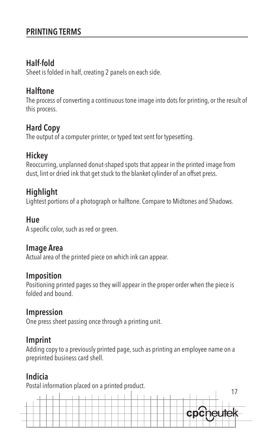# **Half-fold**

Sheet is folded in half, creating 2 panels on each side.

# **Halftone**

The process of converting a continuous tone image into dots for printing, or the result of this process.

# **Hard Copy**

The output of a computer printer, or typed text sent for typesetting.

# **Hickey**

Reoccurring, unplanned donut-shaped spots that appear in the printed image from dust, lint or dried ink that get stuck to the blanket cylinder of an offset press.

# **Highlight**

Lightest portions of a photograph or halftone. Compare to Midtones and Shadows.

## **Hue**

A specific color, such as red or green.

# **Image Area**

Actual area of the printed piece on which ink can appear.

## **Imposition**

Positioning printed pages so they will appear in the proper order when the piece is folded and bound.

# **Impression**

One press sheet passing once through a printing unit.

# **Imprint**

Adding copy to a previously printed page, such as printing an employee name on a preprinted business card shell.

# **Indicia**

Postal information placed on a printed product.

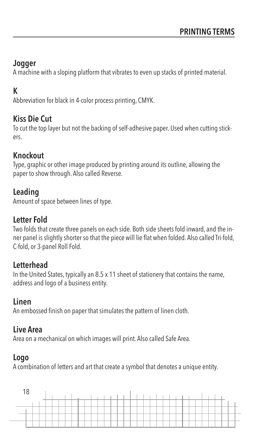# **Jogger**

A machine with a sloping platform that vibrates to even up stacks of printed material.

# **K**

Abbreviation for black in 4-color process printing, CMYK.

## **Kiss Die Cut**

To cut the top layer but not the backing of self-adhesive paper. Used when cutting stickers.

## **Knockout**

Type, graphic or other image produced by printing around its outline, allowing the paper to show through. Also called Reverse.

# **Leading**

Amount of space between lines of type.

# **Letter Fold**

Two folds that create three panels on each side. Both side sheets fold inward, and the inner panel is slightly shorter so that the piece will lie flat when folded. Also called Tri-fold, C-fold, or 3-panel Roll Fold.

# **Letterhead**

In the United States, typically an 8.5 x 11 sheet of stationery that contains the name, address and logo of a business entity.

# **Linen**

An embossed finish on paper that simulates the pattern of linen cloth.

# **Live Area**

Area on a mechanical on which images will print. Also called Safe Area.

# **Logo**

A combination of letters and art that create a symbol that denotes a unique entity.

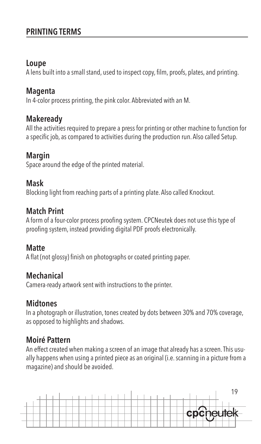### **Loupe**

A lens built into a small stand, used to inspect copy, film, proofs, plates, and printing.

### **Magenta**

In 4-color process printing, the pink color. Abbreviated with an M.

## **Makeready**

All the activities required to prepare a press for printing or other machine to function for a specific job, as compared to activities during the production run. Also called Setup.

# **Margin**

Space around the edge of the printed material.

# **Mask**

Blocking light from reaching parts of a printing plate. Also called Knockout.

## **Match Print**

A form of a four-color process proofing system. CPCNeutek does not use this type of proofing system, instead providing digital PDF proofs electronically.

# **Matte**

A flat (not glossy) finish on photographs or coated printing paper.

# **Mechanical**

Camera-ready artwork sent with instructions to the printer.

# **Midtones**

In a photograph or illustration, tones created by dots between 30% and 70% coverage, as opposed to highlights and shadows.

# **Moiré Pattern**

An effect created when making a screen of an image that already has a screen. This usually happens when using a printed piece as an original (i.e. scanning in a picture from a magazine) and should be avoided.

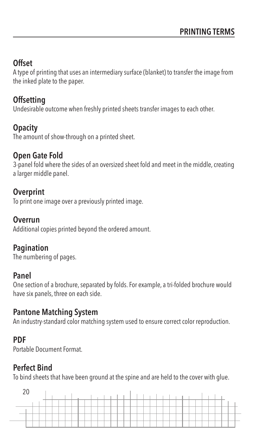# **Offset**

A type of printing that uses an intermediary surface (blanket) to transfer the image from the inked plate to the paper.

# **Offsetting**

Undesirable outcome when freshly printed sheets transfer images to each other.

# **Opacity**

The amount of show-through on a printed sheet.

# **Open Gate Fold**

3-panel fold where the sides of an oversized sheet fold and meet in the middle, creating a larger middle panel.

# **Overprint**

To print one image over a previously printed image.

# **Overrun**

Additional copies printed beyond the ordered amount.

# **Pagination**

The numbering of pages.

# **Panel**

One section of a brochure, separated by folds. For example, a tri-folded brochure would have six panels, three on each side.

# **Pantone Matching System**

An industry-standard color matching system used to ensure correct color reproduction.

# **PDF**

Portable Document Format.

# **Perfect Bind**

To bind sheets that have been ground at the spine and are held to the cover with glue.

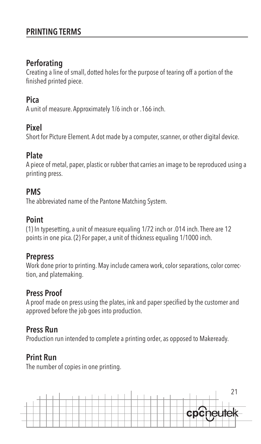### **Perforating**

Creating a line of small, dotted holes for the purpose of tearing off a portion of the finished printed piece.

## **Pica**

A unit of measure. Approximately 1/6 inch or .166 inch.

### **Pixel**

Short for Picture Element. A dot made by a computer, scanner, or other digital device.

### **Plate**

A piece of metal, paper, plastic or rubber that carries an image to be reproduced using a printing press.

### **PMS**

The abbreviated name of the Pantone Matching System.

## **Point**

(1) In typesetting, a unit of measure equaling 1/72 inch or .014 inch. There are 12 points in one pica. (2) For paper, a unit of thickness equaling 1/1000 inch.

## **Prepress**

Work done prior to printing. May include camera work, color separations, color correction, and platemaking.

# **Press Proof**

A proof made on press using the plates, ink and paper specified by the customer and approved before the job goes into production.

## **Press Run**

Production run intended to complete a printing order, as opposed to Makeready.

# **Print Run**

The number of copies in one printing.

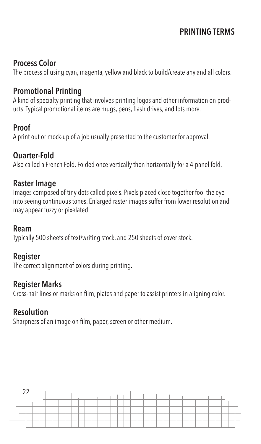## **Process Color**

The process of using cyan, magenta, yellow and black to build/create any and all colors.

# **Promotional Printing**

A kind of specialty printing that involves printing logos and other information on products. Typical promotional items are mugs, pens, flash drives, and lots more.

# **Proof**

A print out or mock-up of a job usually presented to the customer for approval.

## **Quarter-Fold**

Also called a French Fold. Folded once vertically then horizontally for a 4-panel fold.

## **Raster Image**

Images composed of tiny dots called pixels. Pixels placed close together fool the eye into seeing continuous tones. Enlarged raster images suffer from lower resolution and may appear fuzzy or pixelated.

## **Ream**

Typically 500 sheets of text/writing stock, and 250 sheets of cover stock.

## **Register**

The correct alignment of colors during printing.

## **Register Marks**

Cross-hair lines or marks on film, plates and paper to assist printers in aligning color.

## **Resolution**

Sharpness of an image on film, paper, screen or other medium.

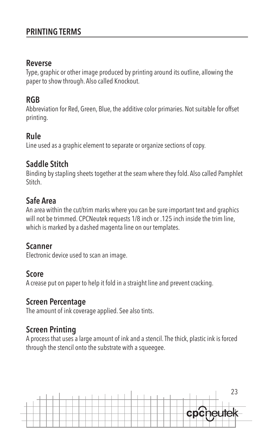#### **Reverse**

Type, graphic or other image produced by printing around its outline, allowing the paper to show through. Also called Knockout.

### **RGB**

Abbreviation for Red, Green, Blue, the additive color primaries. Not suitable for offset printing.

## **Rule**

Line used as a graphic element to separate or organize sections of copy.

# **Saddle Stitch**

Binding by stapling sheets together at the seam where they fold. Also called Pamphlet **Stitch** 

# **Safe Area**

An area within the cut/trim marks where you can be sure important text and graphics will not be trimmed. CPCNeutek requests 1/8 inch or .125 inch inside the trim line, which is marked by a dashed magenta line on our templates.

### **Scanner**

Electronic device used to scan an image.

### **Score**

A crease put on paper to help it fold in a straight line and prevent cracking.

### **Screen Percentage**

The amount of ink coverage applied. See also tints.

# **Screen Printing**

A process that uses a large amount of ink and a stencil. The thick, plastic ink is forced through the stencil onto the substrate with a squeegee.

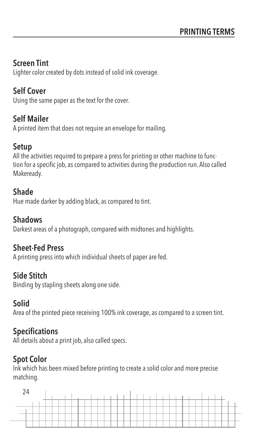## **Screen Tint**

Lighter color created by dots instead of solid ink coverage.

# **Self Cover**

Using the same paper as the text for the cover.

## **Self Mailer**

A printed item that does not require an envelope for mailing.

# **Setup**

All the activities required to prepare a press for printing or other machine to function for a specific job, as compared to activities during the production run. Also called Makeready.

## **Shade**

Hue made darker by adding black, as compared to tint.

## **Shadows**

Darkest areas of a photograph, compared with midtones and highlights.

## **Sheet-Fed Press**

A printing press into which individual sheets of paper are fed.

# **Side Stitch**

Binding by stapling sheets along one side.

# **Solid**

Area of the printed piece receiving 100% ink coverage, as compared to a screen tint.

# **Specifications**

All details about a print job, also called specs.

# **Spot Color**

Ink which has been mixed before printing to create a solid color and more precise matching.

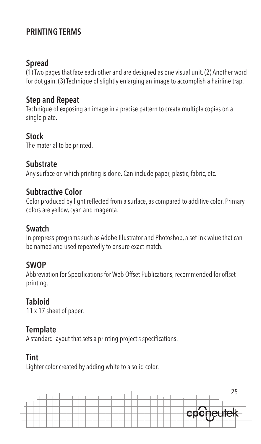## **Spread**

(1) Two pages that face each other and are designed as one visual unit. (2) Another word for dot gain. (3) Technique of slightly enlarging an image to accomplish a hairline trap.

### **Step and Repeat**

Technique of exposing an image in a precise pattern to create multiple copies on a single plate.

## **Stock**

The material to be printed.

## **Substrate**

Any surface on which printing is done. Can include paper, plastic, fabric, etc.

## **Subtractive Color**

Color produced by light reflected from a surface, as compared to additive color. Primary colors are yellow, cyan and magenta.

## **Swatch**

In prepress programs such as Adobe Illustrator and Photoshop, a set ink value that can be named and used repeatedly to ensure exact match.

## **SWOP**

Abbreviation for Specifications for Web Offset Publications, recommended for offset printing.

# **Tabloid**

11 x 17 sheet of paper.

## **Template**

A standard layout that sets a printing project's specifications.

# **Tint**

Lighter color created by adding white to a solid color.

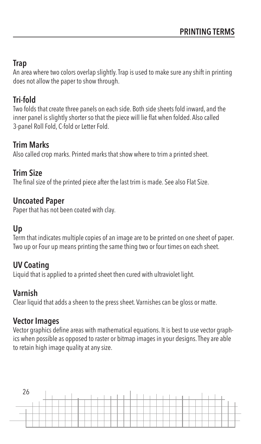# **Trap**

An area where two colors overlap slightly. Trap is used to make sure any shift in printing does not allow the paper to show through.

# **Tri-fold**

Two folds that create three panels on each side. Both side sheets fold inward, and the inner panel is slightly shorter so that the piece will lie flat when folded. Also called 3-panel Roll Fold, C-fold or Letter Fold.

# **Trim Marks**

Also called crop marks. Printed marks that show where to trim a printed sheet.

# **Trim Size**

The final size of the printed piece after the last trim is made. See also Flat Size.

## **Uncoated Paper**

Paper that has not been coated with clay.

# **Up**

Term that indicates multiple copies of an image are to be printed on one sheet of paper. Two up or Four up means printing the same thing two or four times on each sheet.

# **UV Coating**

Liquid that is applied to a printed sheet then cured with ultraviolet light.

# **Varnish**

Clear liquid that adds a sheen to the press sheet. Varnishes can be gloss or matte.

# **Vector Images**

Vector graphics define areas with mathematical equations. It is best to use vector graphics when possible as opposed to raster or bitmap images in your designs. They are able to retain high image quality at any size.

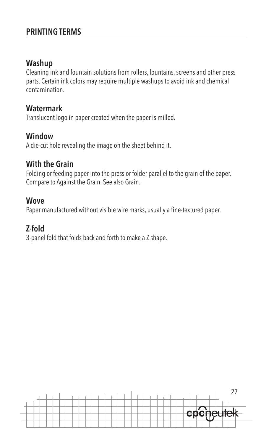### **Washup**

Cleaning ink and fountain solutions from rollers, fountains, screens and other press parts. Certain ink colors may require multiple washups to avoid ink and chemical contamination.

### **Watermark**

Translucent logo in paper created when the paper is milled.

### **Window**

A die-cut hole revealing the image on the sheet behind it.

### **With the Grain**

Folding or feeding paper into the press or folder parallel to the grain of the paper. Compare to Against the Grain. See also Grain.

### **Wove**

Paper manufactured without visible wire marks, usually a fine-textured paper.

## **Z-fold**

3-panel fold that folds back and forth to make a Z shape.

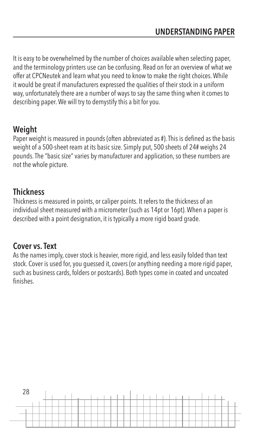It is easy to be overwhelmed by the number of choices available when selecting paper, and the terminology printers use can be confusing. Read on for an overview of what we offer at CPCNeutek and learn what you need to know to make the right choices. While it would be great if manufacturers expressed the qualities of their stock in a uniform way, unfortunately there are a number of ways to say the same thing when it comes to describing paper. We will try to demystify this a bit for you.

# **Weight**

Paper weight is measured in pounds (often abbreviated as #). This is defined as the basis weight of a 500-sheet ream at its basic size. Simply put, 500 sheets of 24# weighs 24 pounds. The "basic size" varies by manufacturer and application, so these numbers are not the whole picture.

## **Thickness**

Thickness is measured in points, or caliper points. It refers to the thickness of an individual sheet measured with a micrometer (such as 14pt or 16pt). When a paper is described with a point designation, it is typically a more rigid board grade.

## **Cover vs. Text**

As the names imply, cover stock is heavier, more rigid, and less easily folded than text stock. Cover is used for, you guessed it, covers (or anything needing a more rigid paper, such as business cards, folders or postcards). Both types come in coated and uncoated finishes.

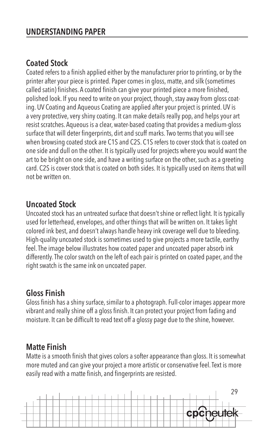# **Coated Stock**

Coated refers to a finish applied either by the manufacturer prior to printing, or by the printer after your piece is printed. Paper comes in gloss, matte, and silk (sometimes called satin) finishes. A coated finish can give your printed piece a more finished, polished look. If you need to write on your project, though, stay away from gloss coating. UV Coating and Aqueous Coating are applied after your project is printed. UV is a very protective, very shiny coating. It can make details really pop, and helps your art resist scratches. Aqueous is a clear, water-based coating that provides a medium-gloss surface that will deter fingerprints, dirt and scuff marks. Two terms that you will see when browsing coated stock are C1S and C2S. C1S refers to cover stock that is coated on one side and dull on the other. It is typically used for projects where you would want the art to be bright on one side, and have a writing surface on the other, such as a greeting card. C2S is cover stock that is coated on both sides. It is typically used on items that will not be written on.

### **Uncoated Stock**

Uncoated stock has an untreated surface that doesn't shine or reflect light. It is typically used for letterhead, envelopes, and other things that will be written on. It takes light colored ink best, and doesn't always handle heavy ink coverage well due to bleeding. High-quality uncoated stock is sometimes used to give projects a more tactile, earthy feel. The image below illustrates how coated paper and uncoated paper absorb ink differently. The color swatch on the left of each pair is printed on coated paper, and the right swatch is the same ink on uncoated paper.

# **Gloss Finish**

Gloss finish has a shiny surface, similar to a photograph. Full-color images appear more vibrant and really shine off a gloss finish. It can protect your project from fading and moisture. It can be difficult to read text off a glossy page due to the shine, however.

## **Matte Finish**

Matte is a smooth finish that gives colors a softer appearance than gloss. It is somewhat more muted and can give your project a more artistic or conservative feel. Text is more easily read with a matte finish, and fingerprints are resisted.

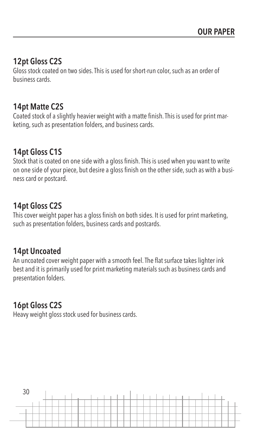## **12pt Gloss C2S**

Gloss stock coated on two sides. This is used for short-run color, such as an order of business cards.

### **14pt Matte C2S**

Coated stock of a slightly heavier weight with a matte finish. This is used for print marketing, such as presentation folders, and business cards.

## **14pt Gloss C1S**

Stock that is coated on one side with a gloss finish. This is used when you want to write on one side of your piece, but desire a gloss finish on the other side, such as with a business card or postcard.

## **14pt Gloss C2S**

This cover weight paper has a gloss finish on both sides. It is used for print marketing, such as presentation folders, business cards and postcards.

## **14pt Uncoated**

An uncoated cover weight paper with a smooth feel. The flat surface takes lighter ink best and it is primarily used for print marketing materials such as business cards and presentation folders.

# **16pt Gloss C2S**

Heavy weight gloss stock used for business cards.

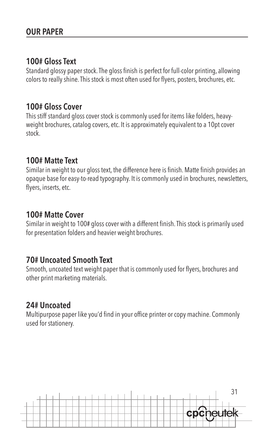## **100# Gloss Text**

Standard glossy paper stock. The gloss finish is perfect for full-color printing, allowing colors to really shine. This stock is most often used for flyers, posters, brochures, etc.

### **100# Gloss Cover**

This stiff standard gloss cover stock is commonly used for items like folders, heavyweight brochures, catalog covers, etc. It is approximately equivalent to a 10pt cover stock.

## **100# Matte Text**

Similar in weight to our gloss text, the difference here is finish. Matte finish provides an opaque base for easy-to-read typography. It is commonly used in brochures, newsletters, flyers, inserts, etc.

### **100# Matte Cover**

Similar in weight to 100# gloss cover with a different finish. This stock is primarily used for presentation folders and heavier weight brochures.

## **70# Uncoated Smooth Text**

Smooth, uncoated text weight paper that is commonly used for flyers, brochures and other print marketing materials.

# **24# Uncoated**

Multipurpose paper like you'd find in your office printer or copy machine. Commonly used for stationery.

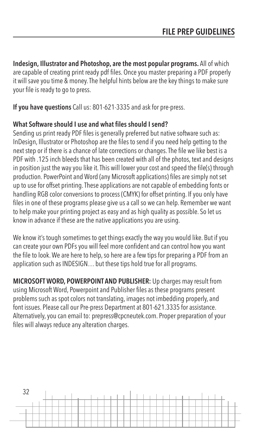**Indesign, Illustrator and Photoshop, are the most popular programs.** All of which are capable of creating print ready pdf files. Once you master preparing a PDF properly it will save you time & money. The helpful hints below are the key things to make sure your file is ready to go to press.

**If you have questions** Call us: 801-621-3335 and ask for pre-press.

#### **What Software should I use and what files should I send?**

Sending us print ready PDF files is generally preferred but native software such as: InDesign, Illustrator or Photoshop are the files to send if you need help getting to the next step or if there is a chance of late corrections or changes. The file we like best is a PDF with .125 inch bleeds that has been created with all of the photos, text and designs in position just the way you like it. This will lower your cost and speed the file(s) through production. PowerPoint and Word (any Microsoft applications) files are simply not set up to use for offset printing. These applications are not capable of embedding fonts or handling RGB color conversions to process (CMYK) for offset printing. If you only have files in one of these programs please give us a call so we can help. Remember we want to help make your printing project as easy and as high quality as possible. So let us know in advance if these are the native applications you are using.

We know it's tough sometimes to get things exactly the way you would like. But if you can create your own PDFs you will feel more confident and can control how you want the file to look. We are here to help, so here are a few tips for preparing a PDF from an application such as INDESIGN… but these tips hold true for all programs.

**MICROSOFT WORD, POWERPOINT AND PUBLISHER:** Up charges may result from using Microsoft Word, Powerpoint and Publisher files as these programs present problems such as spot colors not translating, images not imbedding properly, and font issues. Please call our Pre-press Department at 801-621.3335 for assistance. Alternatively, you can email to: prepress@cpcneutek.com. Proper preparation of your files will always reduce any alteration charges.

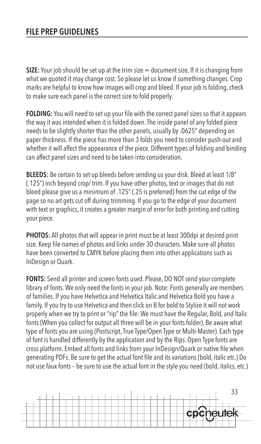# **FILE PREP GUIDELINES**

**SIZE:** Your job should be set up at the trim size = document size. If it is changing from what we quoted it may change cost. So please let us know if something changes. Crop marks are helpful to know how images will crop and bleed. If your job is folding, check to make sure each panel is the correct size to fold properly.

**FOLDING:** You will need to set up your file with the correct panel sizes so that it appears the way it was intended when it is folded down. The inside panel of any folded piece needs to be slightly shorter than the other panels, usually by .0625" depending on paper thickness. If the piece has more than 3 folds you need to consider push-out and whether it will affect the appearance of the piece. Different types of folding and binding can affect panel sizes and need to be taken into consideration.

**BLEEDS:** Be certain to set up bleeds before sending us your disk. Bleed at least 1/8" (.125") inch beyond crop/ trim. If you have other photos, text or images that do not bleed please give us a minimum of .125" (.25 is preferred) from the cut edge of the page so no art gets cut off during trimming. If you go to the edge of your document with text or graphics, it creates a greater margin of error for both printing and cutting your piece.

**PHOTOS:** All photos that will appear in print must be at least 300dpi at desired print size. Keep file names of photos and links under 30 characters. Make sure all photos have been converted to CMYK before placing them into other applications such as InDesign or Quark.

**FONTS:** Send all printer and screen fonts used. Please, DO NOT send your complete library of fonts. We only need the fonts in your job. Note: Fonts generally are members of families. If you have Helvetica and Helvetica Italic and Helvetica Bold you have a family. If you try to use Helvetica and then click on B for bold to Stylize it will not work properly when we try to print or "rip" the file: We must have the Regular, Bold, and Italic fonts (When you collect for output all three will be in your fonts folder). Be aware what type of fonts you are using (Postscript, True Type/Open Type or Multi-Master). Each type of font is handled differently by the application and by the Rips. Open Type fonts are cross platform. Embed all fonts and links from your InDesign/Quark or native file when generating PDFs. Be sure to get the actual font file and its variations (bold, italic etc.) Do not use faux fonts – be sure to use the actual font in the style you need (bold, italics, etc.)

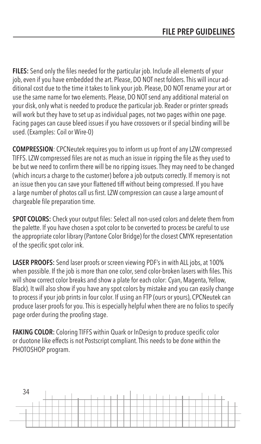**FILES:** Send only the files needed for the particular job. Include all elements of your job, even if you have embedded the art. Please, DO NOT nest folders. This will incur additional cost due to the time it takes to link your job. Please, DO NOT rename your art or use the same name for two elements. Please, DO NOT send any additional material on your disk, only what is needed to produce the particular job. Reader or printer spreads will work but they have to set up as individual pages, not two pages within one page. Facing pages can cause bleed issues if you have crossovers or if special binding will be used. (Examples: Coil or Wire-0)

**COMPRESSION**: CPCNeutek requires you to inform us up front of any LZW compressed TIFFS. LZW compressed files are not as much an issue in ripping the file as they used to be but we need to confirm there will be no ripping issues. They may need to be changed (which incurs a charge to the customer) before a job outputs correctly. If memory is not an issue then you can save your flattened tiff without being compressed. If you have a large number of photos call us first. LZW compression can cause a large amount of chargeable file preparation time.

**SPOT COLORS:** Check your output files: Select all non-used colors and delete them from the palette. If you have chosen a spot color to be converted to process be careful to use the appropriate color library (Pantone Color Bridge) for the closest CMYK representation of the specific spot color ink.

**LASER PROOFS:** Send laser proofs or screen viewing PDF's in with ALL jobs, at 100% when possible. If the job is more than one color, send color-broken lasers with files. This will show correct color breaks and show a plate for each color: Cyan, Magenta, Yellow, Black). It will also show if you have any spot colors by mistake and you can easily change to process if your job prints in four color. If using an FTP (ours or yours), CPCNeutek can produce laser proofs for you. This is especially helpful when there are no folios to specify page order during the proofing stage.

**FAKING COLOR:** Coloring TIFFS within Quark or InDesign to produce specific color or duotone like effects is not Postscript compliant. This needs to be done within the PHOTOSHOP program.

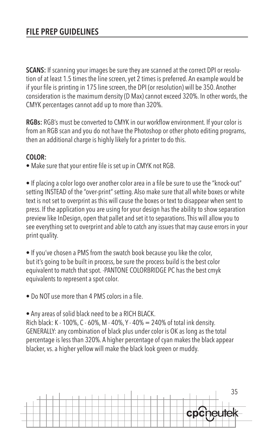**SCANS:** If scanning your images be sure they are scanned at the correct DPI or resolution of at least 1.5 times the line screen, yet 2 times is preferred. An example would be if your file is printing in 175 line screen, the DPI (or resolution) will be 350. Another consideration is the maximum density (D Max) cannot exceed 320%. In other words, the CMYK percentages cannot add up to more than 320%.

**RGBs:** RGB's must be converted to CMYK in our workflow environment. If your color is from an RGB scan and you do not have the Photoshop or other photo editing programs, then an additional charge is highly likely for a printer to do this.

### **COLOR:**

• Make sure that your entire file is set up in CMYK not RGB.

• If placing a color logo over another color area in a file be sure to use the "knock-out" setting INSTEAD of the "over-print" setting. Also make sure that all white boxes or white text is not set to overprint as this will cause the boxes or text to disappear when sent to press. If the application you are using for your design has the ability to show separation preview like InDesign, open that pallet and set it to separations. This will allow you to see everything set to overprint and able to catch any issues that may cause errors in your print quality.

• If you've chosen a PMS from the swatch book because you like the color, but it's going to be built in process, be sure the process build is the best color equivalent to match that spot. -PANTONE COLORBRIDGE PC has the best cmyk equivalents to represent a spot color.

• Do NOT use more than 4 PMS colors in a file.

• Any areas of solid black need to be a RICH BLACK.

Rich black: K - 100%, C - 60%, M - 40%, Y - 40% = 240% of total ink density. GENERALLY: any combination of black plus under color is OK as long as the total percentage is less than 320%. A higher percentage of cyan makes the black appear blacker, vs. a higher yellow will make the black look green or muddy.

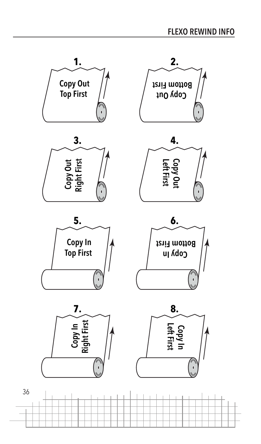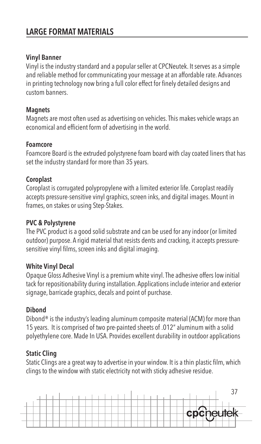## **LARGE FORMAT MATERIALS**

#### **Vinyl Banner**

Vinyl is the industry standard and a popular seller at CPCNeutek. It serves as a simple and reliable method for communicating your message at an affordable rate. Advances in printing technology now bring a full color effect for finely detailed designs and custom banners.

#### **Magnets**

Magnets are most often used as advertising on vehicles. This makes vehicle wraps an economical and efficient form of advertising in the world.

#### **Foamcore**

Foamcore Board is the extruded polystyrene foam board with clay coated liners that has set the industry standard for more than 35 years.

#### **Coroplast**

Coroplast is corrugated polypropylene with a limited exterior life. Coroplast readily accepts pressure-sensitive vinyl graphics, screen inks, and digital images. Mount in frames, on stakes or using Step-Stakes.

#### **PVC & Polystyrene**

The PVC product is a good solid substrate and can be used for any indoor (or limited outdoor) purpose. A rigid material that resists dents and cracking, it accepts pressuresensitive vinyl films, screen inks and digital imaging.

#### **White Vinyl Decal**

Opaque Gloss Adhesive Vinyl is a premium white vinyl. The adhesive offers low initial tack for repositionability during installation. Applications include interior and exterior signage, barricade graphics, decals and point of purchase.

#### **Dibond**

Dibond® is the industry's leading aluminum composite material (ACM) for more than 15 years. It is comprised of two pre-painted sheets of .012" aluminum with a solid polyethylene core. Made In USA. Provides excellent durability in outdoor applications

#### **Static Cling**

Static Clings are a great way to advertise in your window. It is a thin plastic film, which clings to the window with static electricity not with sticky adhesive residue.

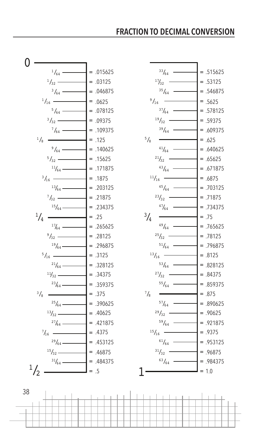### **FRACTION TO DECIMAL CONVERSION**





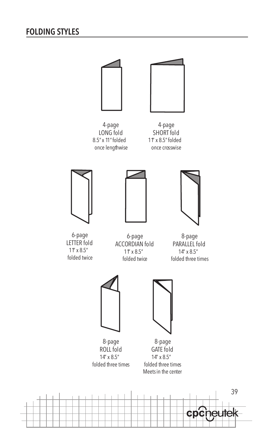## **FOLDING STYLES**



39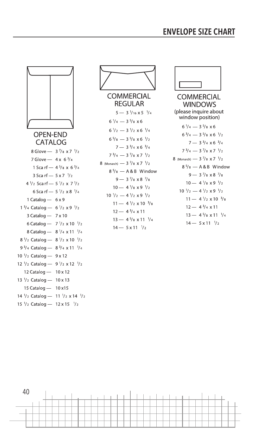### **ENVELOPE SIZE CHART**







**WINDOWS** (please inquire about window position)  $6\frac{1}{4} - 3\frac{5}{8} \times 6$  $6\frac{3}{4}$  - 3  $\frac{5}{8}$  x 6  $\frac{1}{2}$  $7 - 3\frac{3}{4} \times 6\frac{3}{4}$  $7\frac{3}{4}$  - 3  $\frac{7}{8}$  x 7  $\frac{1}{2}$ 8 (Monarch) - 3 7/8 x 7 1/2  $8\frac{5}{8}$  - A & B Window  $9 - 3\frac{7}{8} \times 8\frac{7}{8}$  $10 - 4$   $\frac{1}{8}$  x 9  $\frac{1}{2}$  $10\frac{1}{2} - 4\frac{1}{2} \times 9\frac{1}{2}$  $11 - 4\frac{1}{2} \times 10^{-3}/8$  $12 - 4\frac{3}{4} \times 11$  $13 - 4\frac{5}{8} \times 11\frac{1}{4}$  $14 - 5 \times 11$   $\frac{1}{2}$ 

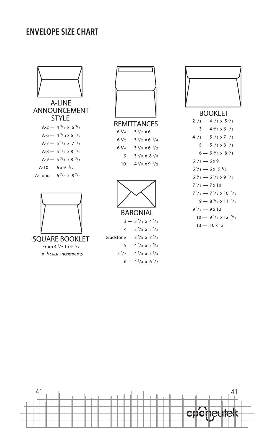### **ENVELOPE SIZE CHART**



**ANNOUNCEMENT STYLE**  $A-2$  - 4  $3/8 \times 6$  3/4  $A - 6 - 4\frac{3}{4} \times 6\frac{1}{2}$ A-7 - 5  $\frac{1}{4}$  x 7  $\frac{1}{4}$  $A - 8 - 5\frac{1}{2} \times 8\frac{1}{8}$ A-9 - 5  $\frac{3}{4}$  x 8  $\frac{3}{4}$  $A-10 - 6 \times 9$  /2 A-Long - 6 7/8 x 8 7/8



**SOUARE BOOKLET** From 4 1/2 to 9 1/2 in  $1/2$  inch increments



**REMITTANCES**  $6\frac{1}{4} - 3\frac{1}{2} \times 6$  $6\frac{1}{2} - 3\frac{1}{2} \times 6\frac{1}{4}$  $6\frac{3}{4}$  - 3  $\frac{5}{8}$  x 6  $\frac{1}{2}$  $9 - 3\frac{7}{8} \times 8\frac{7}{8}$  $10 - 4\frac{1}{8} \times 9\frac{1}{2}$ 



 $4 - 3\frac{5}{8} \times 5\frac{1}{8}$ Gladstone -  $3\frac{5}{8}$  x 7 $\frac{5}{8}$  $5 - 4\frac{1}{8} \times 5\frac{5}{8}$  $5\frac{1}{2} - 4\frac{3}{8} \times 5\frac{3}{4}$  $6 - 4\frac{3}{4} \times 6\frac{1}{2}$